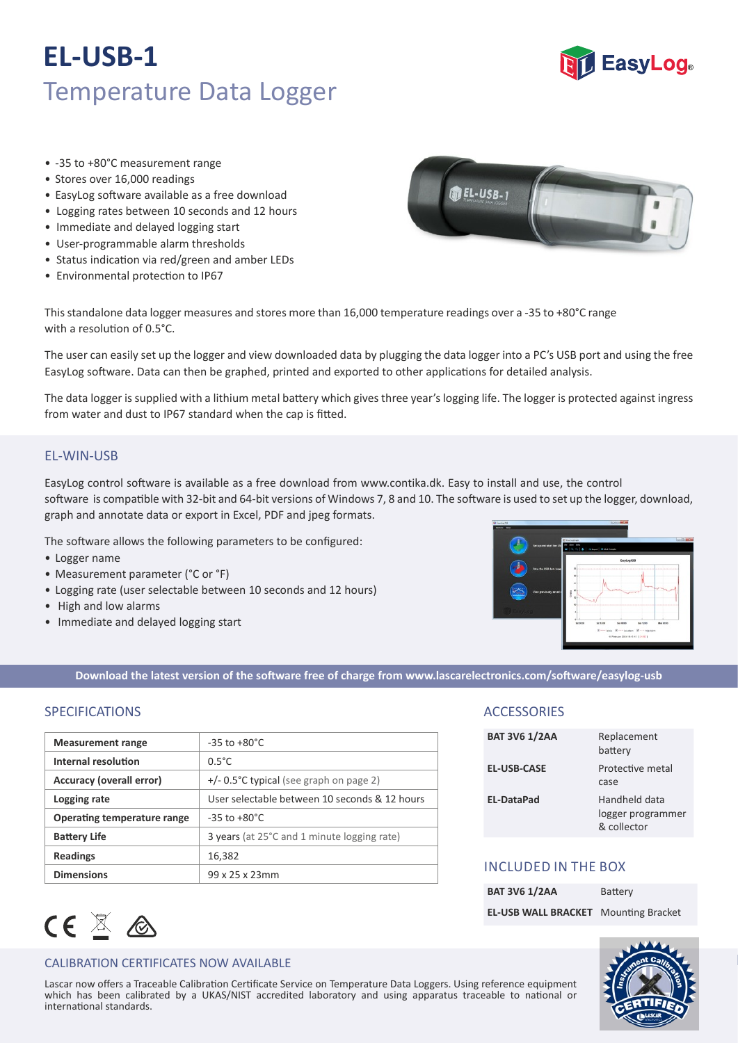# **EL-USB-1** Temperature Data Logger



- -35 to +80°C measurement range
- Stores over 16,000 readings
- EasyLog software available as a free download
- Logging rates between 10 seconds and 12 hours
- Immediate and delayed logging start
- User-programmable alarm thresholds
- Status indication via red/green and amber LEDs
- Environmental protection to IP67

**BEL-USB-1** 

This standalone data logger measures and stores more than 16,000 temperature readings over a -35 to +80°C range with a resolution of  $0.5^{\circ}$ C.

The user can easily set up the logger and view downloaded data by plugging the data logger into a PC's USB port and using the free EasyLog software. Data can then be graphed, printed and exported to other applications for detailed analysis.

The data logger is supplied with a lithium metal battery which gives three year's logging life. The logger is protected against ingress from water and dust to IP67 standard when the cap is fitted.

## EL-WIN-USB

EasyLog control so�ware is available as a free download from www.contika.dk. Easy to install and use, the control software is compatible with 32-bit and 64-bit versions of Windows 7, 8 and 10. The software is used to set up the logger, download, graph and annotate data or export in Excel, PDF and jpeg formats.

The software allows the following parameters to be configured:

- Logger name
- Measurement parameter (°C or °F)
- Logging rate (user selectable between 10 seconds and 12 hours)
- High and low alarms
- Immediate and delayed logging start



**Download the latest version of the so�ware free of charge from www.lascarelectronics.com/so�ware/easylog‐usb**

# SPECIFICATIONS

| <b>Measurement range</b>           | $-35$ to $+80^{\circ}$ C                      |
|------------------------------------|-----------------------------------------------|
| Internal resolution                | $0.5^{\circ}$ C                               |
| <b>Accuracy (overall error)</b>    | $+/-$ 0.5°C typical (see graph on page 2)     |
| Logging rate                       | User selectable between 10 seconds & 12 hours |
| <b>Operating temperature range</b> | $-35$ to $+80^{\circ}$ C                      |
| <b>Battery Life</b>                | 3 years (at 25°C and 1 minute logging rate)   |
| <b>Readings</b>                    | 16,382                                        |
| <b>Dimensions</b>                  | 99 x 25 x 23mm                                |



### CALIBRATION CERTIFICATES NOW AVAILABLE

which has been calibrated by a UKAS/NIST accredited laboratory and using apparatus traceable to national or Lascar now offers a Traceable Calibration Certificate Service on Temperature Data Loggers. Using reference equipment international standards.

# **ACCESSORIES**

| <b>BAT 3V6 1/2AA</b> | Replacement<br>battery                            |
|----------------------|---------------------------------------------------|
| <b>EL-USB-CASE</b>   | Protective metal<br>case                          |
| <b>EL-DataPad</b>    | Handheld data<br>logger programmer<br>& collector |

# INCLUDED IN THE BOX

| <b>BAT 3V6 1/2AA</b>                        | Battery |
|---------------------------------------------|---------|
| <b>EL-USB WALL BRACKET</b> Mounting Bracket |         |